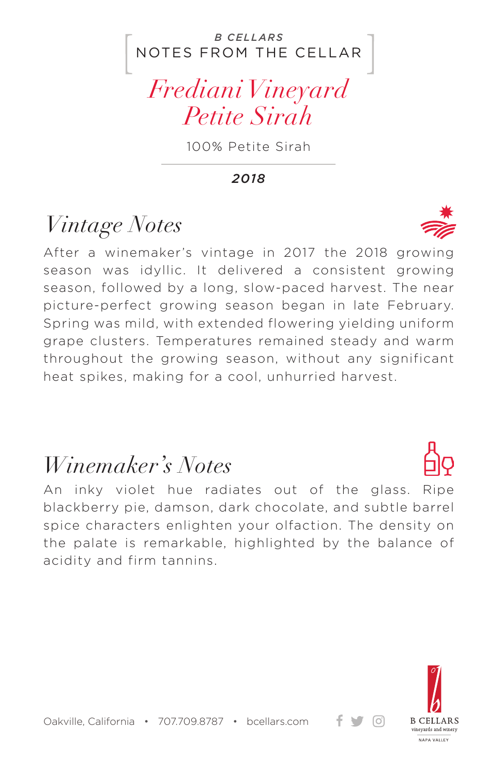### NOTES FROM THE CELLAR *B CELLARS*

# *Frediani Vineyard Petite Sirah*

100% Petite Sirah

#### *2018*

# *Vintage Notes*

After a winemaker's vintage in 2017 the 2018 growing season was idyllic. It delivered a consistent growing season, followed by a long, slow-paced harvest. The near picture-perfect growing season began in late February. Spring was mild, with extended flowering yielding uniform grape clusters. Temperatures remained steady and warm throughout the growing season, without any significant heat spikes, making for a cool, unhurried harvest.

### *Winemaker's Notes*

An inky violet hue radiates out of the glass. Ripe blackberry pie, damson, dark chocolate, and subtle barrel spice characters enlighten your olfaction. The density on the palate is remarkable, highlighted by the balance of acidity and firm tannins.



+ ਚ ⊙